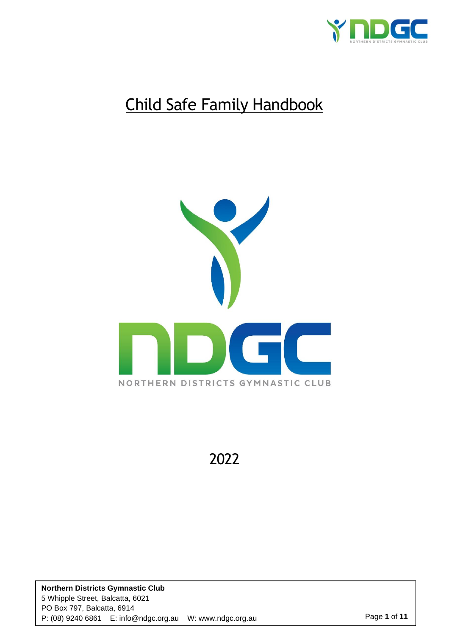

# Child Safe Family Handbook



2022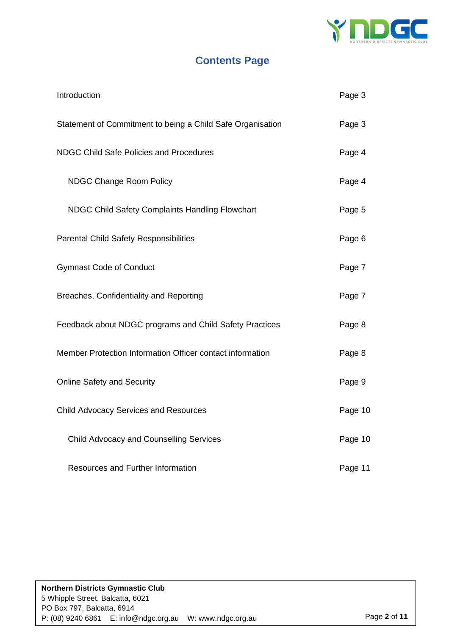

## **Contents Page**

| Introduction                                               | Page 3  |
|------------------------------------------------------------|---------|
| Statement of Commitment to being a Child Safe Organisation | Page 3  |
| <b>NDGC Child Safe Policies and Procedures</b>             | Page 4  |
| <b>NDGC Change Room Policy</b>                             | Page 4  |
| NDGC Child Safety Complaints Handling Flowchart            | Page 5  |
| <b>Parental Child Safety Responsibilities</b>              | Page 6  |
| <b>Gymnast Code of Conduct</b>                             | Page 7  |
| Breaches, Confidentiality and Reporting                    | Page 7  |
| Feedback about NDGC programs and Child Safety Practices    | Page 8  |
| Member Protection Information Officer contact information  | Page 8  |
| <b>Online Safety and Security</b>                          | Page 9  |
| <b>Child Advocacy Services and Resources</b>               | Page 10 |
| <b>Child Advocacy and Counselling Services</b>             | Page 10 |
| Resources and Further Information                          | Page 11 |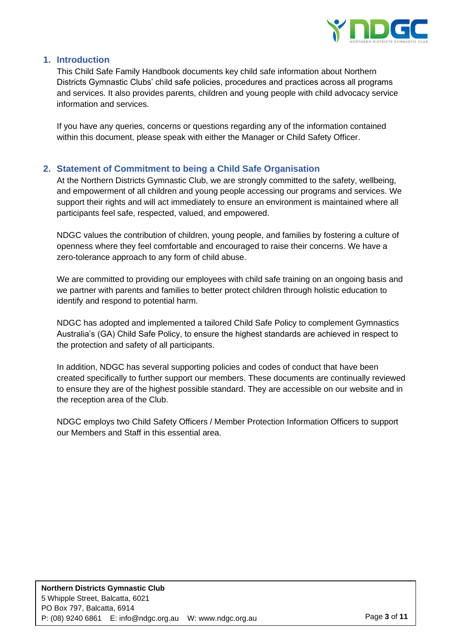

## **1. Introduction**

This Child Safe Family Handbook documents key child safe information about Northern Districts Gymnastic Clubs' child safe policies, procedures and practices across all programs and services. It also provides parents, children and young people with child advocacy service information and services.

If you have any queries, concerns or questions regarding any of the information contained within this document, please speak with either the Manager or Child Safety Officer.

## **2. Statement of Commitment to being a Child Safe Organisation**

At the Northern Districts Gymnastic Club, we are strongly committed to the safety, wellbeing, and empowerment of all children and young people accessing our programs and services. We support their rights and will act immediately to ensure an environment is maintained where all participants feel safe, respected, valued, and empowered.

NDGC values the contribution of children, young people, and families by fostering a culture of openness where they feel comfortable and encouraged to raise their concerns. We have a zero-tolerance approach to any form of child abuse.

We are committed to providing our employees with child safe training on an ongoing basis and we partner with parents and families to better protect children through holistic education to identify and respond to potential harm.

NDGC has adopted and implemented a tailored Child Safe Policy to complement Gymnastics Australia's (GA) Child Safe Policy, to ensure the highest standards are achieved in respect to the protection and safety of all participants.

In addition, NDGC has several supporting policies and codes of conduct that have been created specifically to further support our members. These documents are continually reviewed to ensure they are of the highest possible standard. They are accessible on our website and in the reception area of the Club.

NDGC employs two Child Safety Officers / Member Protection Information Officers to support our Members and Staff in this essential area.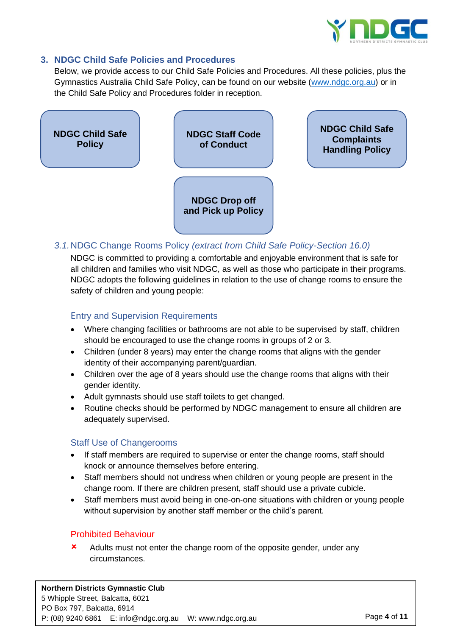

### **3. NDGC Child Safe Policies and Procedures**

Below, we provide access to our Child Safe Policies and Procedures. All these policies, plus the Gymnastics Australia Child Safe Policy, can be found on our website [\(www.ndgc.org.au\)](http://www.ndgc.org.au/) or in the Child Safe Policy and Procedures folder in reception.



## *3.1.*NDGC Change Rooms Policy *(extract from Child Safe Policy-Section 16.0)*

NDGC is committed to providing a comfortable and enjoyable environment that is safe for all children and families who visit NDGC, as well as those who participate in their programs. NDGC adopts the following guidelines in relation to the use of change rooms to ensure the safety of children and young people:

## Entry and Supervision Requirements

- Where changing facilities or bathrooms are not able to be supervised by staff, children should be encouraged to use the change rooms in groups of 2 or 3.
- Children (under 8 years) may enter the change rooms that aligns with the gender identity of their accompanying parent/guardian.
- Children over the age of 8 years should use the change rooms that aligns with their gender identity.
- Adult gymnasts should use staff toilets to get changed.
- Routine checks should be performed by NDGC management to ensure all children are adequately supervised.

### Staff Use of Changerooms

- If staff members are required to supervise or enter the change rooms, staff should knock or announce themselves before entering.
- Staff members should not undress when children or young people are present in the change room. If there are children present, staff should use a private cubicle.
- Staff members must avoid being in one-on-one situations with children or young people without supervision by another staff member or the child's parent.

### Prohibited Behaviour

**x** Adults must not enter the change room of the opposite gender, under any circumstances.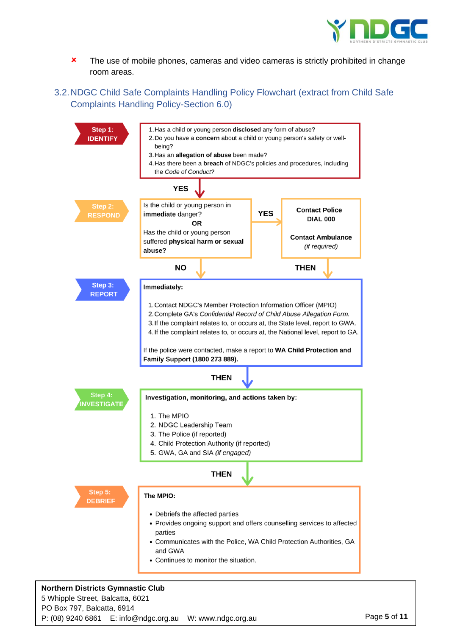

- **\*** The use of mobile phones, cameras and video cameras is strictly prohibited in change room areas.
- 3.2.NDGC Child Safe Complaints Handling Policy Flowchart (extract from Child Safe Complaints Handling Policy-Section 6.0)



#### **Northern Districts Gymnastic Club** 5 Whipple Street, Balcatta, 6021 PO Box 797, Balcatta, 6914 P: (08) 9240 6861 E: info@ndgc.org.au W: www.ndgc.org.au Page **5** of **11**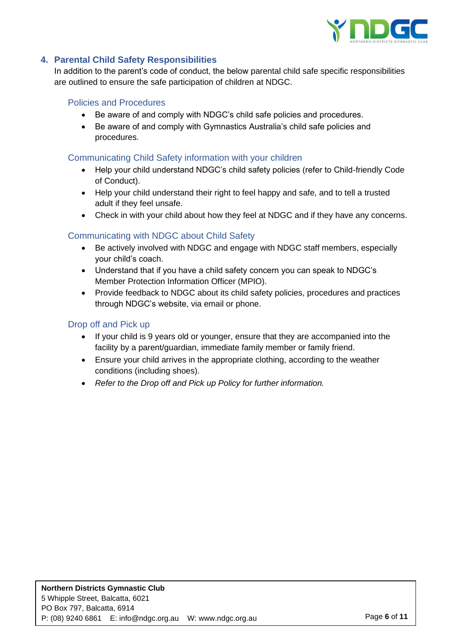

## **4. Parental Child Safety Responsibilities**

In addition to the parent's code of conduct, the below parental child safe specific responsibilities are outlined to ensure the safe participation of children at NDGC.

## Policies and Procedures

- Be aware of and comply with NDGC's child safe policies and procedures.
- Be aware of and comply with Gymnastics Australia's child safe policies and procedures.

### Communicating Child Safety information with your children

- Help your child understand NDGC's child safety policies (refer to Child-friendly Code of Conduct).
- Help your child understand their right to feel happy and safe, and to tell a trusted adult if they feel unsafe.
- Check in with your child about how they feel at NDGC and if they have any concerns.

## Communicating with NDGC about Child Safety

- Be actively involved with NDGC and engage with NDGC staff members, especially your child's coach.
- Understand that if you have a child safety concern you can speak to NDGC's Member Protection Information Officer (MPIO).
- Provide feedback to NDGC about its child safety policies, procedures and practices through NDGC's website, via email or phone.

## Drop off and Pick up

- If your child is 9 years old or younger, ensure that they are accompanied into the facility by a parent/guardian, immediate family member or family friend.
- Ensure your child arrives in the appropriate clothing, according to the weather conditions (including shoes).
- *Refer to the Drop off and Pick up Policy for further information.*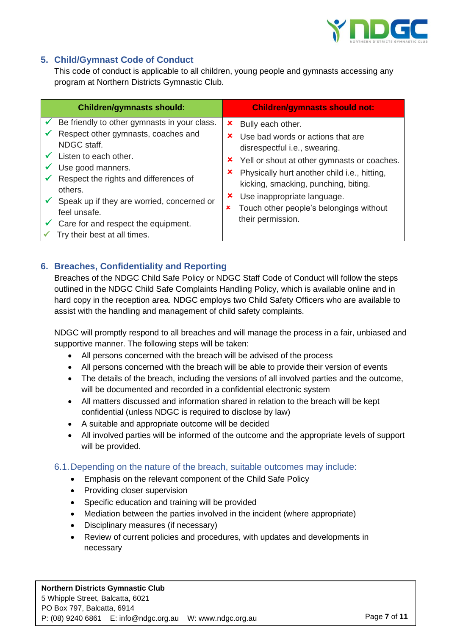

## **5. Child/Gymnast Code of Conduct**

This code of conduct is applicable to all children, young people and gymnasts accessing any program at Northern Districts Gymnastic Club.

| <b>Children/gymnasts should:</b>                                                                                                                                                                                                                                                                                                          | <b>Children/gymnasts should not:</b>                                                                                                                                                                                                                                                                                                                     |
|-------------------------------------------------------------------------------------------------------------------------------------------------------------------------------------------------------------------------------------------------------------------------------------------------------------------------------------------|----------------------------------------------------------------------------------------------------------------------------------------------------------------------------------------------------------------------------------------------------------------------------------------------------------------------------------------------------------|
| Be friendly to other gymnasts in your class.<br>Respect other gymnasts, coaches and<br>NDGC staff.<br>Listen to each other.<br>Use good manners.<br>Respect the rights and differences of<br>others.<br>Speak up if they are worried, concerned or<br>feel unsafe.<br>Care for and respect the equipment.<br>Try their best at all times. | Bully each other.<br>x<br>Use bad words or actions that are<br>x<br>disrespectful i.e., swearing.<br>× Yell or shout at other gymnasts or coaches.<br>Physically hurt another child i.e., hitting,<br>x<br>kicking, smacking, punching, biting.<br>Use inappropriate language.<br>x<br>Touch other people's belongings without<br>×<br>their permission. |

## **6. Breaches, Confidentiality and Reporting**

Breaches of the NDGC Child Safe Policy or NDGC Staff Code of Conduct will follow the steps outlined in the NDGC Child Safe Complaints Handling Policy, which is available online and in hard copy in the reception area. NDGC employs two Child Safety Officers who are available to assist with the handling and management of child safety complaints.

NDGC will promptly respond to all breaches and will manage the process in a fair, unbiased and supportive manner. The following steps will be taken:

- All persons concerned with the breach will be advised of the process
- All persons concerned with the breach will be able to provide their version of events
- The details of the breach, including the versions of all involved parties and the outcome, will be documented and recorded in a confidential electronic system
- All matters discussed and information shared in relation to the breach will be kept confidential (unless NDGC is required to disclose by law)
- A suitable and appropriate outcome will be decided
- All involved parties will be informed of the outcome and the appropriate levels of support will be provided.

6.1.Depending on the nature of the breach, suitable outcomes may include:

- Emphasis on the relevant component of the Child Safe Policy
- Providing closer supervision
- Specific education and training will be provided
- Mediation between the parties involved in the incident (where appropriate)
- Disciplinary measures (if necessary)
- Review of current policies and procedures, with updates and developments in necessary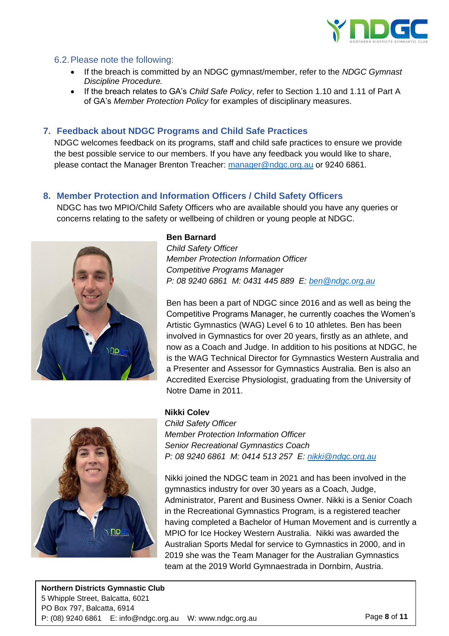

#### 6.2.Please note the following:

- If the breach is committed by an NDGC gymnast/member, refer to the *NDGC Gymnast Discipline Procedure.*
- If the breach relates to GA's *Child Safe Policy*, refer to Section 1.10 and 1.11 of Part A of GA's *Member Protection Policy* for examples of disciplinary measures.

#### **7. Feedback about NDGC Programs and Child Safe Practices**

NDGC welcomes feedback on its programs, staff and child safe practices to ensure we provide the best possible service to our members. If you have any feedback you would like to share, please contact the Manager Brenton Treacher: [manager@ndgc.org.au](mailto:manager@ndgc.org.au) or 9240 6861.

### **8. Member Protection and Information Officers / Child Safety Officers**

NDGC has two MPIO/Child Safety Officers who are available should you have any queries or concerns relating to the safety or wellbeing of children or young people at NDGC.



#### **Ben Barnard**

*Child Safety Officer Member Protection Information Officer Competitive Programs Manager P: 08 9240 6861 M: 0431 445 889 E: [ben@ndgc.org.au](mailto:ben@ndgc.org.au)*

Ben has been a part of NDGC since 2016 and as well as being the Competitive Programs Manager, he currently coaches the Women's Artistic Gymnastics (WAG) Level 6 to 10 athletes. Ben has been involved in Gymnastics for over 20 years, firstly as an athlete, and now as a Coach and Judge. In addition to his positions at NDGC, he is the WAG Technical Director for Gymnastics Western Australia and a Presenter and Assessor for Gymnastics Australia. Ben is also an Accredited Exercise Physiologist, graduating from the University of Notre Dame in 2011.



#### **Nikki Colev**

*Child Safety Officer Member Protection Information Officer Senior Recreational Gymnastics Coach P: 08 9240 6861 M: 0414 513 257 E: [nikki@ndgc.org.au](mailto:nikki@ndgc.org.au)*

Nikki joined the NDGC team in 2021 and has been involved in the gymnastics industry for over 30 years as a Coach, Judge, Administrator, Parent and Business Owner. Nikki is a Senior Coach in the Recreational Gymnastics Program, is a registered teacher having completed a Bachelor of Human Movement and is currently a MPIO for Ice Hockey Western Australia. Nikki was awarded the Australian Sports Medal for service to Gymnastics in 2000, and in 2019 she was the Team Manager for the Australian Gymnastics team at the 2019 World Gymnaestrada in Dornbirn, Austria.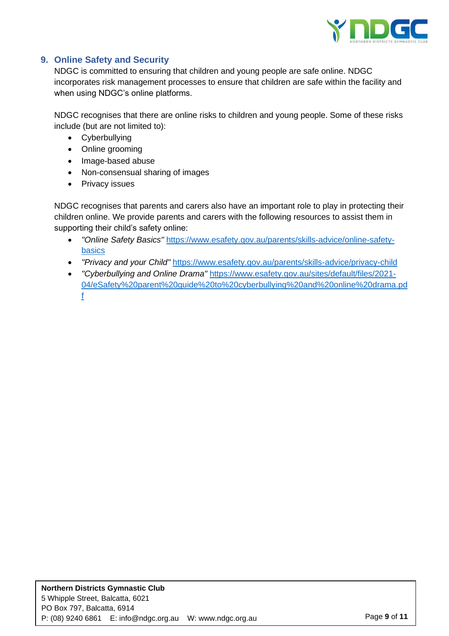

## **9. Online Safety and Security**

NDGC is committed to ensuring that children and young people are safe online. NDGC incorporates risk management processes to ensure that children are safe within the facility and when using NDGC's online platforms.

NDGC recognises that there are online risks to children and young people. Some of these risks include (but are not limited to):

- Cyberbullying
- Online grooming
- Image-based abuse
- Non-consensual sharing of images
- Privacy issues

NDGC recognises that parents and carers also have an important role to play in protecting their children online. We provide parents and carers with the following resources to assist them in supporting their child's safety online:

- *"Online Safety Basics"* [https://www.esafety.gov.au/parents/skills-advice/online-safety](https://www.esafety.gov.au/parents/skills-advice/online-safety-basics)[basics](https://www.esafety.gov.au/parents/skills-advice/online-safety-basics)
- *"Privacy and your Child"* <https://www.esafety.gov.au/parents/skills-advice/privacy-child>
- *"Cyberbullying and Online Drama"* [https://www.esafety.gov.au/sites/default/files/2021-](https://www.esafety.gov.au/sites/default/files/2021-04/eSafety%20parent%20guide%20to%20cyberbullying%20and%20online%20drama.pdf) [04/eSafety%20parent%20guide%20to%20cyberbullying%20and%20online%20drama.pd](https://www.esafety.gov.au/sites/default/files/2021-04/eSafety%20parent%20guide%20to%20cyberbullying%20and%20online%20drama.pdf) [f](https://www.esafety.gov.au/sites/default/files/2021-04/eSafety%20parent%20guide%20to%20cyberbullying%20and%20online%20drama.pdf)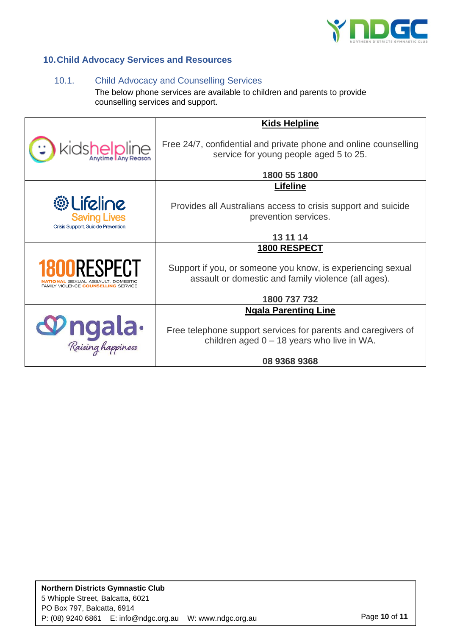

## **10.Child Advocacy Services and Resources**

## 10.1. Child Advocacy and Counselling Services

The below phone services are available to children and parents to provide counselling services and support.

|                                                                                                         | <b>Kids Helpline</b>                                                                                               |  |
|---------------------------------------------------------------------------------------------------------|--------------------------------------------------------------------------------------------------------------------|--|
| kidshelpline                                                                                            | Free 24/7, confidential and private phone and online counselling<br>service for young people aged 5 to 25.         |  |
|                                                                                                         | 1800 55 1800                                                                                                       |  |
|                                                                                                         | <b>Lifeline</b>                                                                                                    |  |
| <b>@Lifeline</b><br><b>Saving Lives</b><br>Crisis Support. Suicide Prevention.                          | Provides all Australians access to crisis support and suicide<br>prevention services.                              |  |
|                                                                                                         | 13 11 14                                                                                                           |  |
|                                                                                                         | 1800 RESPECT                                                                                                       |  |
| <b>1800RESPECT</b><br><b>NAL</b> SEXUAL ASSAULT. DOMESTIC<br>FAMILY VIOLENCE <b>COUNSELLING</b> SERVICE | Support if you, or someone you know, is experiencing sexual<br>assault or domestic and family violence (all ages). |  |
|                                                                                                         | 1800 737 732                                                                                                       |  |
|                                                                                                         | <b>Ngala Parenting Line</b>                                                                                        |  |
| <b>Mgala</b> .                                                                                          | Free telephone support services for parents and caregivers of<br>children aged $0 - 18$ years who live in WA.      |  |
|                                                                                                         | 08 9368 9368                                                                                                       |  |